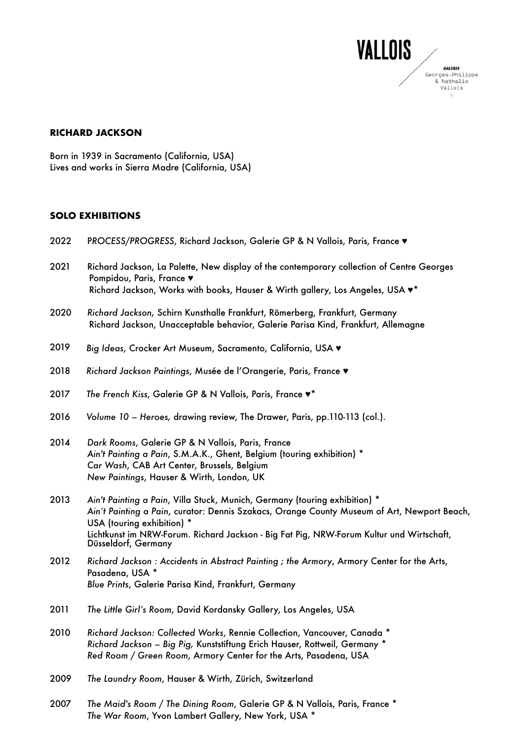

## **RICHARD JACKSON**

Born in 1939 in Sacramento (California, USA) Lives and works in Sierra Madre (California, USA)

## **SOLO EXHIBITIONS**

| 2022 | PROCESS/PROGRESS, Richard Jackson, Galerie GP & N Vallois, Paris, France v                                                                                                                                                                                                                                                 |
|------|----------------------------------------------------------------------------------------------------------------------------------------------------------------------------------------------------------------------------------------------------------------------------------------------------------------------------|
| 2021 | Richard Jackson, La Palette, New display of the contemporary collection of Centre Georges<br>Pompidou, Paris, France v<br>Richard Jackson, Works with books, Hauser & Wirth gallery, Los Angeles, USA v*                                                                                                                   |
| 2020 | Richard Jackson, Schirn Kunsthalle Frankfurt, Römerberg, Frankfurt, Germany<br>Richard Jackson, Unacceptable behavior, Galerie Parisa Kind, Frankfurt, Allemagne                                                                                                                                                           |
| 2019 | Big Ideas, Crocker Art Museum, Sacramento, California, USA v                                                                                                                                                                                                                                                               |
| 2018 | Richard Jackson Paintings, Musée de l'Orangerie, Paris, France v                                                                                                                                                                                                                                                           |
| 2017 | The French Kiss, Galerie GP & N Vallois, Paris, France $\blacktriangledown^*$                                                                                                                                                                                                                                              |
| 2016 | Volume 10 - Heroes, drawing review, The Drawer, Paris, pp.110-113 (col.).                                                                                                                                                                                                                                                  |
| 2014 | Dark Rooms, Galerie GP & N Vallois, Paris, France<br>Ain't Painting a Pain, S.M.A.K., Ghent, Belgium (touring exhibition) *<br>Car Wash, CAB Art Center, Brussels, Belgium<br>New Paintings, Hauser & Wirth, London, UK                                                                                                    |
| 2013 | Ain't Painting a Pain, Villa Stuck, Munich, Germany (touring exhibition) *<br>Ain't Painting a Pain, curator: Dennis Szakacs, Orange County Museum of Art, Newport Beach,<br>USA (touring exhibition) *<br>Lichtkunst im NRW-Forum. Richard Jackson - Big Fat Pig, NRW-Forum Kultur und Wirtschaft,<br>Düsseldorf, Germany |
| 2012 | Richard Jackson: Accidents in Abstract Painting; the Armory, Armory Center for the Arts,<br>Pasadena, USA *<br>Blue Prints, Galerie Parisa Kind, Frankfurt, Germany                                                                                                                                                        |
| 2011 | The Little Girl's Room, David Kordansky Gallery, Los Angeles, USA                                                                                                                                                                                                                                                          |
| 2010 | Richard Jackson: Collected Works, Rennie Collection, Vancouver, Canada *<br>Richard Jackson - Big Pig, Kunststiftung Erich Hauser, Rottweil, Germany *<br>Red Room / Green Room, Armory Center for the Arts, Pasadena, USA                                                                                                 |
| 2009 | The Laundry Room, Hauser & Wirth, Zürich, Switzerland                                                                                                                                                                                                                                                                      |
| 2007 | The Maid's Room / The Dining Room, Galerie GP & N Vallois, Paris, France *<br>The War Room, Yvon Lambert Gallery, New York, USA *                                                                                                                                                                                          |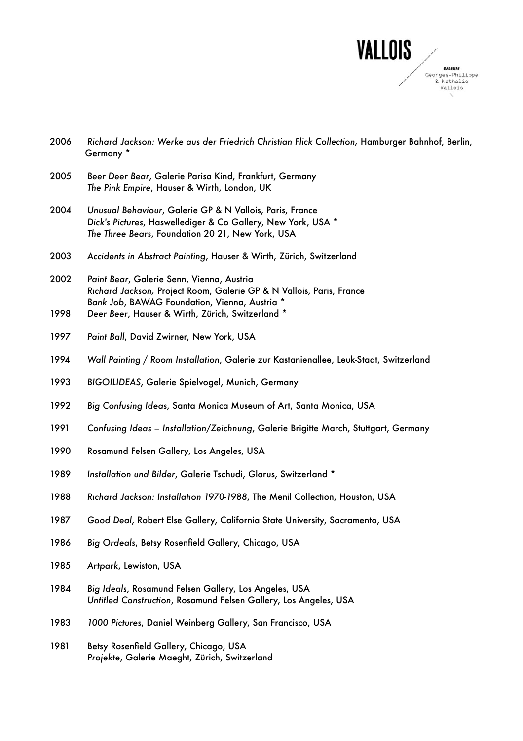

|              | Germany *                                                                                                                                                                                                              |
|--------------|------------------------------------------------------------------------------------------------------------------------------------------------------------------------------------------------------------------------|
| 2005         | Beer Deer Bear, Galerie Parisa Kind, Frankfurt, Germany<br>The Pink Empire, Hauser & Wirth, London, UK                                                                                                                 |
| 2004         | Unusual Behaviour, Galerie GP & N Vallois, Paris, France<br>Dick's Pictures, Haswellediger & Co Gallery, New York, USA *<br>The Three Bears, Foundation 20 21, New York, USA                                           |
| 2003         | Accidents in Abstract Painting, Hauser & Wirth, Zürich, Switzerland                                                                                                                                                    |
| 2002<br>1998 | Paint Bear, Galerie Senn, Vienna, Austria<br>Richard Jackson, Project Room, Galerie GP & N Vallois, Paris, France<br>Bank Job, BAWAG Foundation, Vienna, Austria *<br>Deer Beer, Hauser & Wirth, Zürich, Switzerland * |
| 1997         | Paint Ball, David Zwirner, New York, USA                                                                                                                                                                               |
| 1994         | Wall Painting / Room Installation, Galerie zur Kastanienallee, Leuk-Stadt, Switzerland                                                                                                                                 |
| 1993         | BIGOILIDEAS, Galerie Spielvogel, Munich, Germany                                                                                                                                                                       |
| 1992         | Big Confusing Ideas, Santa Monica Museum of Art, Santa Monica, USA                                                                                                                                                     |

*Richard Jackson: Werke aus der Friedrich Christian Flick Collection,* Hamburger Bahnhof, Berlin,

- *Confusing Ideas Installation/Zeichnung*, Galerie Brigitte March, Stuttgart, Germany
- 1990 Rosamund Felsen Gallery, Los Angeles, USA
- *Installation und Bilder*, Galerie Tschudi, Glarus, Switzerland \*
- *Richard Jackson: Installation 1970-1988*, The Menil Collection, Houston, USA
- *Good Deal*, Robert Else Gallery, California State University, Sacramento, USA
- *Big Ordeals*, Betsy Rosenfield Gallery, Chicago, USA
- *Artpark*, Lewiston, USA
- *Big Ideals*, Rosamund Felsen Gallery, Los Angeles, USA *Untitled Construction*, Rosamund Felsen Gallery, Los Angeles, USA
- *1000 Pictures*, Daniel Weinberg Gallery, San Francisco, USA
- 1981 Betsy Rosenfield Gallery, Chicago, USA *Projekte*, Galerie Maeght, Zürich, Switzerland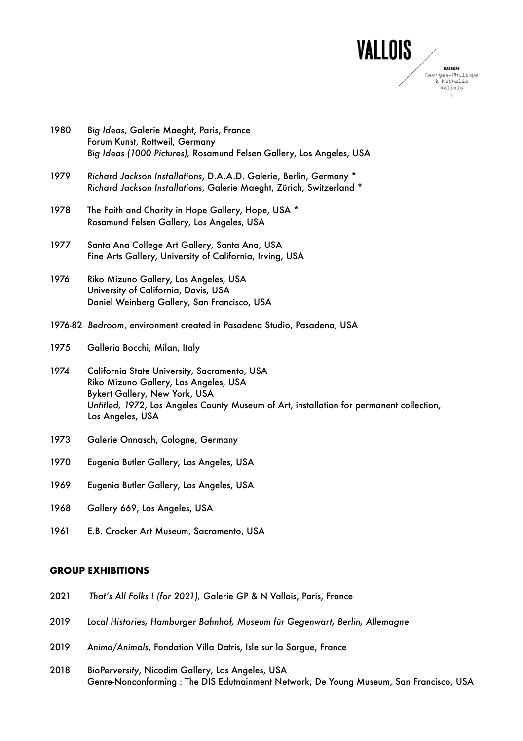

- Forum Kunst, Rottweil, Germany *Big Ideas (1000 Pictures),* Rosamund Felsen Gallery, Los Angeles, USA 1979 *Richard Jackson Installations*, D.A.A.D. Galerie, Berlin, Germany \* *Richard Jackson Installations*, Galerie Maeght, Zürich, Switzerland \* 1978 The Faith and Charity in Hope Gallery, Hope, USA \* Rosamund Felsen Gallery, Los Angeles, USA 1977 Santa Ana College Art Gallery, Santa Ana, USA Fine Arts Gallery, University of California, Irving, USA 1976 Riko Mizuno Gallery, Los Angeles, USA University of California, Davis, USA Daniel Weinberg Gallery, San Francisco, USA 1976-82 *Bedroom*, environment created in Pasadena Studio, Pasadena, USA 1975 Galleria Bocchi, Milan, Italy 1974 California State University, Sacramento, USA Riko Mizuno Gallery, Los Angeles, USA Bykert Gallery, New York, USA *Untitled, 1972*, Los Angeles County Museum of Art, installation for permanent collection, Los Angeles, USA 1973 Galerie Onnasch, Cologne, Germany 1970 Eugenia Butler Gallery, Los Angeles, USA 1969 Eugenia Butler Gallery, Los Angeles, USA 1968 Gallery 669, Los Angeles, USA
- 1961 E.B. Crocker Art Museum, Sacramento, USA

1980 *Big Ideas*, Galerie Maeght, Paris, France

# **GROUP EXHIBITIONS**

- 2021 *That's All Folks ! (for 2021),* Galerie GP & N Vallois, Paris, France
- 2019 *Local Histories, Hamburger Bahnhof, Museum für Gegenwart, Berlin, Allemagne*
- 2019 *Anima/Animals*, Fondation Villa Datris, Isle sur la Sorgue, France
- 2018 *BioPerversity*, Nicodim Gallery, Los Angeles, USA Genre-Nonconforming : The DIS Edutnainment Network, De Young Museum, San Francisco, USA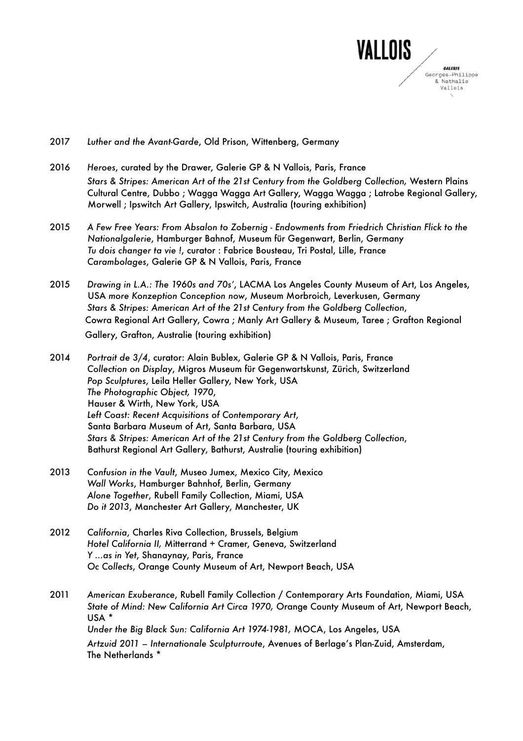

- 2017 *Luther and the Avant-Garde*, Old Prison, Wittenberg, Germany
- 2016 *Heroes*, curated by the Drawer, Galerie GP & N Vallois, Paris, France *Stars & Stripes: American Art of the 21st Century from the Goldberg Collection,* Western Plains Cultural Centre, Dubbo ; Wagga Wagga Art Gallery, Wagga Wagga ; Latrobe Regional Gallery, Morwell ; Ipswitch Art Gallery, Ipswitch, Australia (touring exhibition)
- 2015 *A Few Free Years: From Absalon to Zobernig Endowments from Friedrich Christian Flick to the Nationalgalerie*, Hamburger Bahnof, Museum für Gegenwart, Berlin, Germany *Tu dois changer ta vie !*, curator : Fabrice Bousteau, Tri Postal, Lille, France *Carambolages*, Galerie GP & N Vallois, Paris, France
- 2015 *Drawing in L.A.: The 1960s and 70s'*, LACMA Los Angeles County Museum of Art, Los Angeles, USA *more Konzeption Conception now*, Museum Morbroich, Leverkusen, Germany *Stars & Stripes: American Art of the 21st Century from the Goldberg Collection*, Cowra Regional Art Gallery, Cowra ; Manly Art Gallery & Museum, Taree ; Grafton Regional Gallery, Grafton, Australie (touring exhibition)
- 2014 *Portrait de 3/4*, curator: Alain Bublex, Galerie GP & N Vallois, Paris, France *Collection on Display*, Migros Museum für Gegenwartskunst, Zürich, Switzerland *Pop Sculptures*, Leila Heller Gallery, New York, USA *The Photographic Object, 1970*, Hauser & Wirth, New York, USA *Left Coast: Recent Acquisitions of Contemporary Art*, Santa Barbara Museum of Art, Santa Barbara, USA *Stars & Stripes: American Art of the 21st Century from the Goldberg Collection*, Bathurst Regional Art Gallery, Bathurst, Australie (touring exhibition)
- 2013 *Confusion in the Vault*, Museo Jumex, Mexico City, Mexico *Wall Works*, Hamburger Bahnhof, Berlin, Germany *Alone Together*, Rubell Family Collection, Miami, USA *Do it 2013*, Manchester Art Gallery, Manchester, UK
- 2012 *California*, Charles Riva Collection, Brussels, Belgium *Hotel California II,* Mitterrand + Cramer, Geneva, Switzerland *Y ...as in Yet*, Shanaynay, Paris, France *Oc Collects*, Orange County Museum of Art, Newport Beach, USA

2011 *American Exuberance*, Rubell Family Collection / Contemporary Arts Foundation, Miami, USA *State of Mind: New California Art Circa 1970,* Orange County Museum of Art, Newport Beach, USA \* *Under the Big Black Sun: California Art 1974-1981,* MOCA, Los Angeles, USA *Artzuid 2011 – Internationale Sculpturroute*, Avenues of Berlage's Plan-Zuid, Amsterdam, The Netherlands \*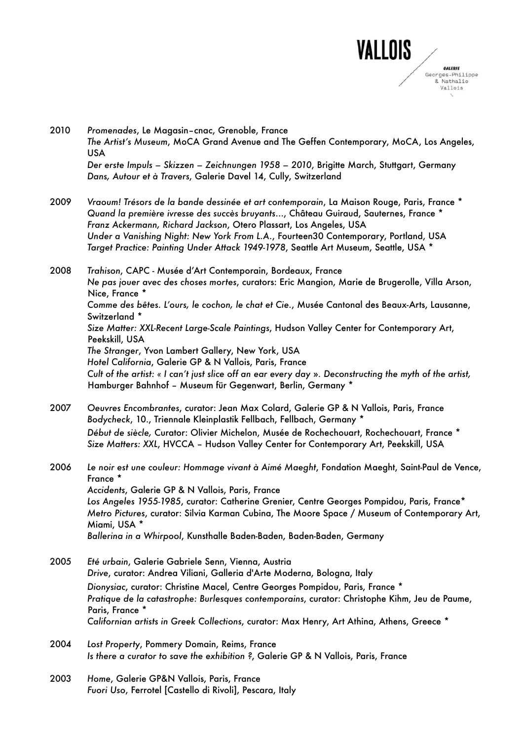

- 2010 *Promenades*, Le Magasin–cnac, Grenoble, France *The Artist's Museum*, MoCA Grand Avenue and The Geffen Contemporary, MoCA, Los Angeles, USA *Der erste Impuls – Skizzen – Zeichnungen 1958 – 2010*, Brigitte March, Stuttgart, Germany *Dans, Autour et à Travers*, Galerie Davel 14, Cully, Switzerland
- 2009 *Vraoum! Trésors de la bande dessinée et art contemporain*, La Maison Rouge, Paris, France \* *Quand la première ivresse des succès bruyants*…, Château Guiraud, Sauternes, France \* *Franz Ackermann, Richard Jackson*, Otero Plassart, Los Angeles, USA *Under a Vanishing Night: New York From L.A.*, Fourteen30 Contemporary, Portland, USA *Target Practice: Painting Under Attack 1949-1978*, Seattle Art Museum, Seattle, USA \*

2008 *Trahison*, CAPC - Musée d'Art Contemporain, Bordeaux, France *Ne pas jouer avec des choses mortes*, curators: Eric Mangion, Marie de Brugerolle, Villa Arson, Nice, France \* *Comme des bêtes. L'ours, le cochon, le chat et Cie.*, Musée Cantonal des Beaux-Arts, Lausanne, Switzerland \* *Size Matter: XXL-Recent Large-Scale Paintings*, Hudson Valley Center for Contemporary Art, Peekskill, USA *The Stranger*, Yvon Lambert Gallery, New York, USA *Hotel California*, Galerie GP & N Vallois, Paris, France *Cult of the artist: « I can't just slice off an ear every day* »*. Deconstructing the myth of the artist,* Hamburger Bahnhof – Museum für Gegenwart, Berlin, Germany \*

- 2007 *Oeuvres Encombrantes*, curator: Jean Max Colard, Galerie GP & N Vallois, Paris, France *Bodycheck*, 10., Triennale Kleinplastik Fellbach, Fellbach, Germany \* *Début de siècle,* Curator: Olivier Michelon, Musée de Rochechouart, Rochechouart, France \* *Size Matters: XXL*, HVCCA – Hudson Valley Center for Contemporary Art, Peekskill, USA
- 2006 *Le noir est une couleur: Hommage vivant à Aimé Maeght*, Fondation Maeght, Saint-Paul de Vence, France \* *Accidents*, Galerie GP & N Vallois, Paris, France *Los Angeles 1955-1985*, curator: Catherine Grenier, Centre Georges Pompidou, Paris, France\* *Metro Pictures*, curator: Silvia Karman Cubina, The Moore Space / Museum of Contemporary Art, Miami, USA \* *Ballerina in a Whirpool*, Kunsthalle Baden-Baden, Baden-Baden, Germany
- 2005 *Eté urbain*, Galerie Gabriele Senn, Vienna, Austria *Drive*, curator: Andrea Viliani, Galleria d'Arte Moderna, Bologna, Italy *Dionysiac*, curator: Christine Macel, Centre Georges Pompidou, Paris, France \* *Pratique de la catastrophe: Burlesques contemporains*, curator: Christophe Kihm, Jeu de Paume, Paris, France \* *Californian artists in Greek Collections*, curator: Max Henry, Art Athina, Athens, Greece \*
- 2004 *Lost Property*, Pommery Domain, Reims, France *Is there a curator to save the exhibition ?*, Galerie GP & N Vallois, Paris, France
- 2003 *Home*, Galerie GP&N Vallois, Paris, France *Fuori Uso*, Ferrotel [Castello di Rivoli], Pescara, Italy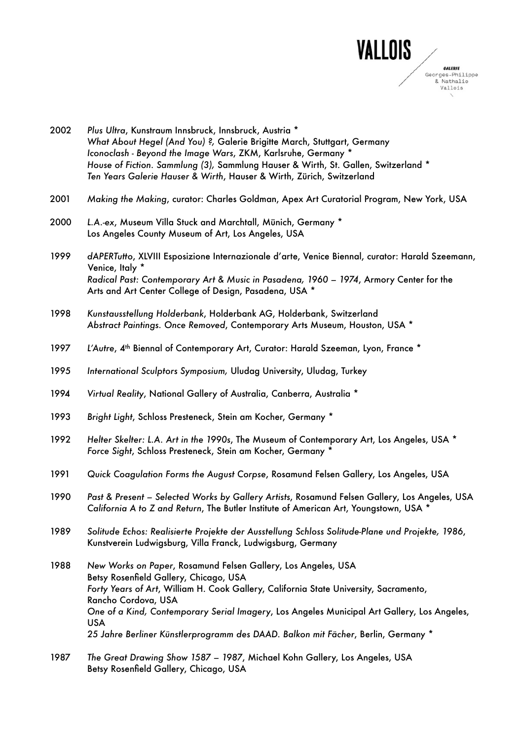

| 2002 | Plus Ultra, Kunstraum Innsbruck, Innsbruck, Austria *<br>What About Hegel (And You) ?, Galerie Brigitte March, Stuttgart, Germany<br>Iconoclash - Beyond the Image Wars, ZKM, Karlsruhe, Germany *<br>House of Fiction. Sammlung (3), Sammlung Hauser & Wirth, St. Gallen, Switzerland *<br>Ten Years Galerie Hauser & Wirth, Hauser & Wirth, Zürich, Switzerland                                                         |
|------|---------------------------------------------------------------------------------------------------------------------------------------------------------------------------------------------------------------------------------------------------------------------------------------------------------------------------------------------------------------------------------------------------------------------------|
| 2001 | Making the Making, curator: Charles Goldman, Apex Art Curatorial Program, New York, USA                                                                                                                                                                                                                                                                                                                                   |
| 2000 | L.A.-ex, Museum Villa Stuck and Marchtall, Münich, Germany *<br>Los Angeles County Museum of Art, Los Angeles, USA                                                                                                                                                                                                                                                                                                        |
| 1999 | dAPERTutto, XLVIII Esposizione Internazionale d'arte, Venice Biennal, curator: Harald Szeemann,<br>Venice, Italy *<br>Radical Past: Contemporary Art & Music in Pasadena, 1960 - 1974, Armory Center for the<br>Arts and Art Center College of Design, Pasadena, USA *                                                                                                                                                    |
| 1998 | Kunstausstellung Holderbank, Holderbank AG, Holderbank, Switzerland<br>Abstract Paintings. Once Removed, Contemporary Arts Museum, Houston, USA *                                                                                                                                                                                                                                                                         |
| 1997 | L'Autre, 4 <sup>th</sup> Biennal of Contemporary Art, Curator: Harald Szeeman, Lyon, France *                                                                                                                                                                                                                                                                                                                             |
| 1995 | International Sculptors Symposium, Uludag University, Uludag, Turkey                                                                                                                                                                                                                                                                                                                                                      |
| 1994 | Virtual Reality, National Gallery of Australia, Canberra, Australia *                                                                                                                                                                                                                                                                                                                                                     |
| 1993 | Bright Light, Schloss Presteneck, Stein am Kocher, Germany *                                                                                                                                                                                                                                                                                                                                                              |
| 1992 | Helter Skelter: L.A. Art in the 1990s, The Museum of Contemporary Art, Los Angeles, USA *<br>Force Sight, Schloss Presteneck, Stein am Kocher, Germany *                                                                                                                                                                                                                                                                  |
| 1991 | Quick Coagulation Forms the August Corpse, Rosamund Felsen Gallery, Los Angeles, USA                                                                                                                                                                                                                                                                                                                                      |
| 1990 | Past & Present - Selected Works by Gallery Artists, Rosamund Felsen Gallery, Los Angeles, USA<br>California A to Z and Return, The Butler Institute of American Art, Youngstown, USA *                                                                                                                                                                                                                                    |
| 1989 | Solitude Echos: Realisierte Projekte der Ausstellung Schloss Solitude-Plane und Projekte, 1986,<br>Kunstverein Ludwigsburg, Villa Franck, Ludwigsburg, Germany                                                                                                                                                                                                                                                            |
| 1988 | New Works on Paper, Rosamund Felsen Gallery, Los Angeles, USA<br>Betsy Rosenfield Gallery, Chicago, USA<br>Forty Years of Art, William H. Cook Gallery, California State University, Sacramento,<br>Rancho Cordova, USA<br>One of a Kind, Contemporary Serial Imagery, Los Angeles Municipal Art Gallery, Los Angeles,<br><b>USA</b><br>25 Jahre Berliner Künstlerprogramm des DAAD. Balkon mit Fächer, Berlin, Germany * |
| 1987 | The Great Drawing Show 1587 - 1987, Michael Kohn Gallery, Los Angeles, USA                                                                                                                                                                                                                                                                                                                                                |

Betsy Rosenfield Gallery, Chicago, USA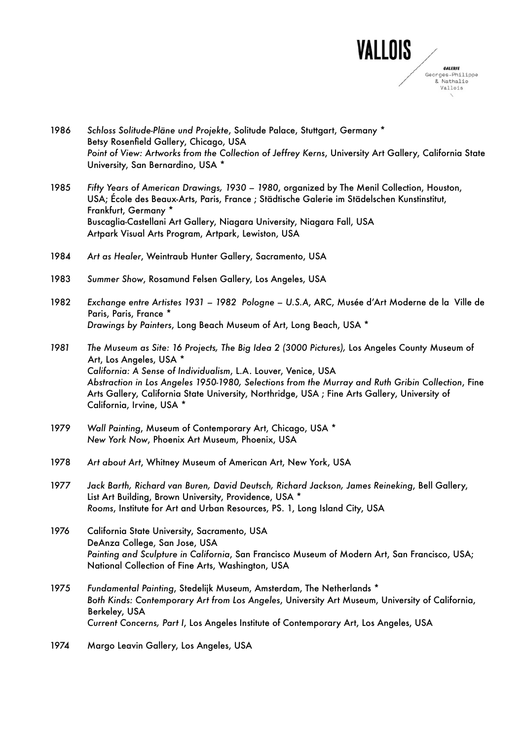

- 1986 *Schloss Solitude-Pläne und Projekte*, Solitude Palace, Stuttgart, Germany \* Betsy Rosenfield Gallery, Chicago, USA *Point of View: Artworks from the Collection of Jeffrey Kerns*, University Art Gallery, California State University, San Bernardino, USA \*
- 1985 *Fifty Years of American Drawings, 1930 1980*, organized by The Menil Collection, Houston, USA; École des Beaux-Arts, Paris, France ; Städtische Galerie im Städelschen Kunstinstitut, Frankfurt, Germany \* Buscaglia-Castellani Art Gallery, Niagara University, Niagara Fall, USA Artpark Visual Arts Program, Artpark, Lewiston, USA
- 1984 *Art as Healer*, Weintraub Hunter Gallery, Sacramento, USA
- 1983 *Summer Show*, Rosamund Felsen Gallery, Los Angeles, USA
- 1982 *Exchange entre Artistes 1931 1982 Pologne U.S.A*, ARC, Musée d'Art Moderne de la Ville de Paris, Paris, France \* *Drawings by Painters*, Long Beach Museum of Art, Long Beach, USA \*
- *1981 The Museum as Site: 16 Projects, The Big Idea 2 (3000 Pictures),* Los Angeles County Museum of Art, Los Angeles, USA \* *California: A Sense of Individualism*, L.A. Louver, Venice, USA *Abstraction in Los Angeles 1950-1980, Selections from the Murray and Ruth Gribin Collection*, Fine Arts Gallery, California State University, Northridge, USA ; Fine Arts Gallery, University of California, Irvine, USA \*
- 1979 *Wall Painting*, Museum of Contemporary Art, Chicago, USA \* *New York Now*, Phoenix Art Museum, Phoenix, USA
- 1978 *Art about Art*, Whitney Museum of American Art, New York, USA
- 1977 *Jack Barth, Richard van Buren, David Deutsch, Richard Jackson, James Reineking*, Bell Gallery, List Art Building, Brown University, Providence, USA \* *Rooms*, Institute for Art and Urban Resources, PS. 1, Long Island City, USA
- 1976 California State University, Sacramento, USA DeAnza College, San Jose, USA *Painting and Sculpture in California*, San Francisco Museum of Modern Art, San Francisco, USA; National Collection of Fine Arts, Washington, USA
- 1975 *Fundamental Painting*, Stedelijk Museum, Amsterdam, The Netherlands \* *Both Kinds: Contemporary Art from Los Angeles*, University Art Museum, University of California, Berkeley, USA *Current Concerns, Part I*, Los Angeles Institute of Contemporary Art, Los Angeles, USA
- 1974 Margo Leavin Gallery, Los Angeles, USA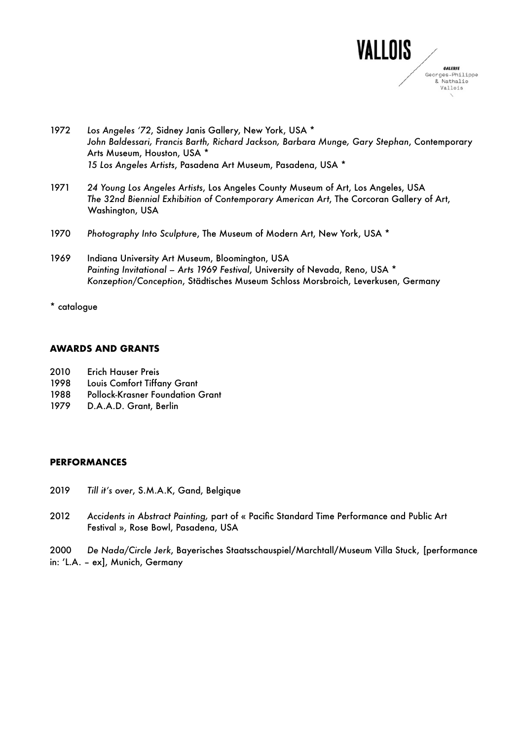

- 1972 *Los Angeles ʻ72*, Sidney Janis Gallery, New York, USA \* *John Baldessari, Francis Barth, Richard Jackson, Barbara Munge, Gary Stephan*, Contemporary Arts Museum, Houston, USA \* *15 Los Angeles Artists*, Pasadena Art Museum, Pasadena, USA \*
- 1971 *24 Young Los Angeles Artists*, Los Angeles County Museum of Art, Los Angeles, USA *The 32nd Biennial Exhibition of Contemporary American Art*, The Corcoran Gallery of Art, Washington, USA
- 1970 *Photography Into Sculpture*, The Museum of Modern Art, New York, USA \*
- 1969 Indiana University Art Museum, Bloomington, USA *Painting Invitational – Arts 1969 Festival*, University of Nevada, Reno, USA \* *Konzeption/Conception*, Städtisches Museum Schloss Morsbroich, Leverkusen, Germany
- \* catalogue

## **AWARDS AND GRANTS**

- 2010 Erich Hauser Preis
- 1998 Louis Comfort Tiffany Grant
- 1988 Pollock-Krasner Foundation Grant
- 1979 D.A.A.D. Grant, Berlin

#### **PERFORMANCES**

- 2019 *Till it's over*, S.M.A.K, Gand, Belgique
- 2012 *Accidents in Abstract Painting,* part of « Pacific Standard Time Performance and Public Art Festival », Rose Bowl, Pasadena, USA

2000 *De Nada/Circle Jerk*, Bayerisches Staatsschauspiel/Marchtall/Museum Villa Stuck, [performance in: ʻL.A. – ex], Munich, Germany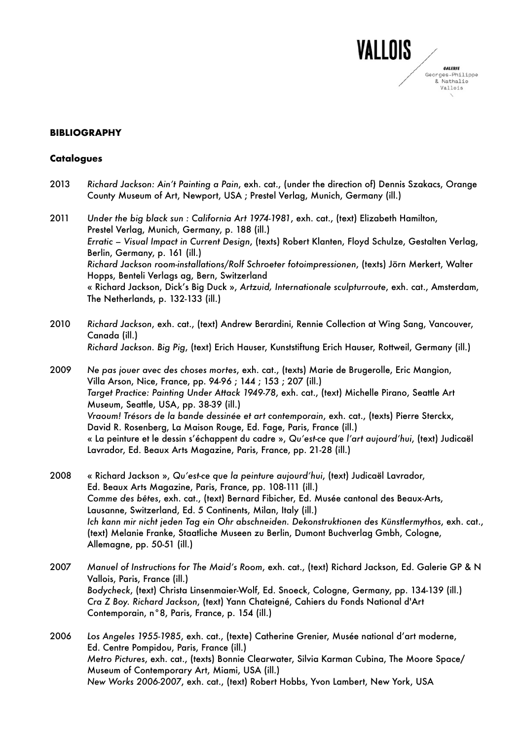

## **BIBLIOGRAPHY**

## **Catalogues**

- 2013 *Richard Jackson: Ain't Painting a Pain*, exh. cat., (under the direction of) Dennis Szakacs, Orange County Museum of Art, Newport, USA ; Prestel Verlag, Munich, Germany (ill.)
- 2011 *Under the big black sun : California Art 1974-1981*, exh. cat., (text) Elizabeth Hamilton, Prestel Verlag, Munich, Germany, p. 188 (ill.) *Erratic – Visual Impact in Current Design*, (texts) Robert Klanten, Floyd Schulze, Gestalten Verlag, Berlin, Germany, p. 161 (ill.) *Richard Jackson room-installations/Rolf Schroeter fotoimpressionen*, (texts) Jörn Merkert, Walter Hopps, Benteli Verlags ag, Bern, Switzerland « Richard Jackson, Dick's Big Duck », *Artzuid, Internationale sculpturroute*, exh. cat., Amsterdam, The Netherlands, p. 132-133 (ill.)
- 2010 *Richard Jackson*, exh. cat., (text) Andrew Berardini, Rennie Collection at Wing Sang, Vancouver, Canada (ill.) *Richard Jackson. Big Pig*, (text) Erich Hauser, Kunststiftung Erich Hauser, Rottweil, Germany (ill.)
- 2009 *Ne pas jouer avec des choses mortes*, exh. cat., (texts) Marie de Brugerolle, Eric Mangion, Villa Arson, Nice, France, pp. 94-96 ; 144 ; 153 ; 207 (ill.) *Target Practice: Painting Under Attack 1949-78*, exh. cat., (text) Michelle Pirano, Seattle Art Museum, Seattle, USA, pp. 38-39 (ill.) *Vraoum! Trésors de la bande dessinée et art contemporain*, exh. cat., (texts) Pierre Sterckx, David R. Rosenberg, La Maison Rouge, Ed. Fage, Paris, France (ill.) « La peinture et le dessin s'échappent du cadre », *Qu'est-ce que l'art aujourd'hui*, (text) Judicaël Lavrador, Ed. Beaux Arts Magazine, Paris, France, pp. 21-28 (ill.)
- 2008 « Richard Jackson », *Qu'est-ce que la peinture aujourd'hui*, (text) Judicaël Lavrador, Ed. Beaux Arts Magazine, Paris, France, pp. 108-111 (ill.) *Comme des bêtes*, exh. cat., (text) Bernard Fibicher, Ed. Musée cantonal des Beaux-Arts, Lausanne, Switzerland, Ed. 5 Continents, Milan, Italy (ill.) *Ich kann mir nicht jeden Tag ein Ohr abschneiden. Dekonstruktionen des Künstlermythos*, exh. cat., (text) Melanie Franke, Staatliche Museen zu Berlin, Dumont Buchverlag Gmbh, Cologne, Allemagne, pp. 50-51 (ill.)
- 2007 *Manuel of Instructions for The Maid's Room*, exh. cat., (text) Richard Jackson, Ed. Galerie GP & N Vallois, Paris, France (ill.) *Bodycheck*, (text) Christa Linsenmaier-Wolf, Ed. Snoeck, Cologne, Germany, pp. 134-139 (ill.) *Cra Z Boy. Richard Jackson*, (text) Yann Chateigné, Cahiers du Fonds National d'Art Contemporain, n°8, Paris, France, p. 154 (ill.)

2006 *Los Angeles 1955-1985*, exh. cat., (texte) Catherine Grenier, Musée national d'art moderne, Ed. Centre Pompidou, Paris, France (ill.) *Metro Pictures*, exh. cat., (texts) Bonnie Clearwater, Silvia Karman Cubina, The Moore Space/ Museum of Contemporary Art, Miami, USA (ill.) *New Works 2006-2007*, exh. cat., (text) Robert Hobbs, Yvon Lambert, New York, USA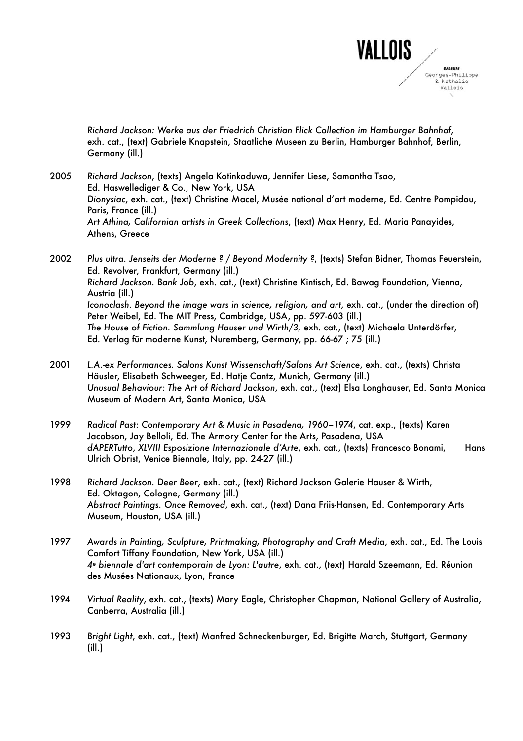

*Richard Jackson: Werke aus der Friedrich Christian Flick Collection im Hamburger Bahnhof*, exh. cat., (text) Gabriele Knapstein, Staatliche Museen zu Berlin, Hamburger Bahnhof, Berlin, Germany (ill.)

2005 *Richard Jackson*, (texts) Angela Kotinkaduwa, Jennifer Liese, Samantha Tsao, Ed. Haswellediger & Co., New York, USA *Dionysiac*, exh. cat., (text) Christine Macel, Musée national d'art moderne, Ed. Centre Pompidou, Paris, France (ill.) *Art Athina, Californian artists in Greek Collections*, (text) Max Henry, Ed. Maria Panayides, Athens, Greece

2002 *Plus ultra. Jenseits der Moderne ? / Beyond Modernity ?*, (texts) Stefan Bidner, Thomas Feuerstein, Ed. Revolver, Frankfurt, Germany (ill.) *Richard Jackson. Bank Job*, exh. cat., (text) Christine Kintisch, Ed. Bawag Foundation, Vienna, Austria (ill.) *Iconoclash. Beyond the image wars in science, religion, and art*, exh. cat., (under the direction of) Peter Weibel, Ed. The MIT Press, Cambridge, USA, pp. 597-603 (ill.) *The House of Fiction. Sammlung Hauser und Wirth/3,* exh. cat., (text) Michaela Unterdörfer, Ed. Verlag für moderne Kunst, Nuremberg, Germany, pp. 66-67 ; 75 (ill.)

2001 *L.A.-ex Performances. Salons Kunst Wissenschaft/Salons Art Science*, exh. cat., (texts) Christa Häusler, Elisabeth Schweeger, Ed. Hatje Cantz, Munich, Germany (ill.) *Unusual Behaviour: The Art of Richard Jackson*, exh. cat., (text) Elsa Longhauser, Ed. Santa Monica Museum of Modern Art, Santa Monica, USA

1999 *Radical Past: Contemporary Art & Music in Pasadena, 1960–1974*, cat. exp., (texts) Karen Jacobson, Jay Belloli, Ed. The Armory Center for the Arts, Pasadena, USA *dAPERTutto*, *XLVIII Esposizione Internazionale d'Arte*, exh. cat., (texts) Francesco Bonami, Hans Ulrich Obrist, Venice Biennale, Italy, pp. 24-27 (ill.)

- 1998 *Richard Jackson. Deer Beer*, exh. cat., (text) Richard Jackson Galerie Hauser & Wirth, Ed. Oktagon, Cologne, Germany (ill.) *Abstract Paintings. Once Removed*, exh. cat., (text) Dana Friis-Hansen, Ed. Contemporary Arts Museum, Houston, USA (ill.)
- 1997 *Awards in Painting, Sculpture, Printmaking, Photography and Craft Media*, exh. cat., Ed. The Louis Comfort Tiffany Foundation, New York, USA (ill.) *4<sup>e</sup> biennale d'art contemporain de Lyon: L'autre*, exh. cat., (text) Harald Szeemann, Ed. Réunion des Musées Nationaux, Lyon, France
- 1994 *Virtual Reality*, exh. cat., (texts) Mary Eagle, Christopher Chapman, National Gallery of Australia, Canberra, Australia (ill.)
- 1993 *Bright Light*, exh. cat., (text) Manfred Schneckenburger, Ed. Brigitte March, Stuttgart, Germany (ill.)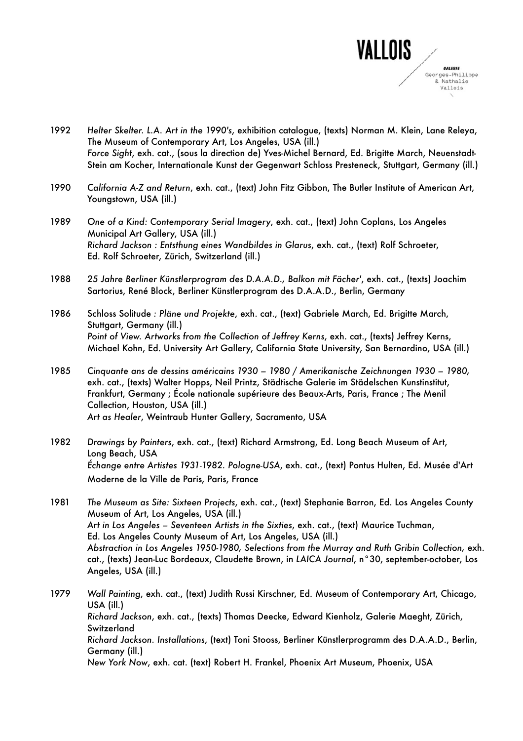

- 1992 *Helter Skelter. L.A. Art in the 1990's*, exhibition catalogue, (texts) Norman M. Klein, Lane Releya, The Museum of Contemporary Art, Los Angeles, USA (ill.) *Force Sight*, exh. cat., (sous la direction de) Yves-Michel Bernard, Ed. Brigitte March, Neuenstadt-Stein am Kocher, Internationale Kunst der Gegenwart Schloss Presteneck, Stuttgart, Germany (ill.)
- 1990 *California A-Z and Return*, exh. cat., (text) John Fitz Gibbon, The Butler Institute of American Art, Youngstown, USA (ill.)
- 1989 *One of a Kind: Contemporary Serial Imagery*, exh. cat., (text) John Coplans, Los Angeles Municipal Art Gallery, USA (ill.) *Richard Jackson : Entsthung eines Wandbildes in Glarus*, exh. cat., (text) Rolf Schroeter, Ed. Rolf Schroeter, Zürich, Switzerland (ill.)
- 1988 *25 Jahre Berliner Künstlerprogram des D.A.A.D., Balkon mit Fächer'*, exh. cat., (texts) Joachim Sartorius, René Block, Berliner Künstlerprogram des D.A.A.D., Berlin, Germany

1986 Schloss Solitude *: Pläne und Projekte*, exh. cat., (text) Gabriele March, Ed. Brigitte March, Stuttgart, Germany (ill.) *Point of View. Artworks from the Collection of Jeffrey Kerns*, exh. cat., (texts) Jeffrey Kerns, Michael Kohn, Ed. University Art Gallery, California State University, San Bernardino, USA (ill.)

1985 *Cinquante ans de dessins américains 1930 – 1980 / Amerikanische Zeichnungen 1930 – 1980,* exh. cat., (texts) Walter Hopps, Neil Printz, Städtische Galerie im Städelschen Kunstinstitut, Frankfurt, Germany ; École nationale supérieure des Beaux-Arts, Paris, France ; The Menil Collection, Houston, USA (ill.) *Art as Healer*, Weintraub Hunter Gallery, Sacramento, USA

1982 *Drawings by Painters*, exh. cat., (text) Richard Armstrong, Ed. Long Beach Museum of Art, Long Beach, USA *Échange entre Artistes 1931-1982. Pologne-USA*, exh. cat., (text) Pontus Hulten, Ed. Musée d'Art Moderne de la Ville de Paris, Paris, France

1981 *The Museum as Site: Sixteen Projects*, exh. cat., (text) Stephanie Barron, Ed. Los Angeles County Museum of Art, Los Angeles, USA (ill.) *Art in Los Angeles – Seventeen Artists in the Sixties*, exh. cat., (text) Maurice Tuchman, Ed. Los Angeles County Museum of Art, Los Angeles, USA (ill.) *Abstraction in Los Angeles 1950-1980, Selections from the Murray and Ruth Gribin Collection,* exh. cat., (texts) Jean-Luc Bordeaux, Claudette Brown, in *LAICA Journal*, n°30, september-october, Los Angeles, USA (ill.)

1979 *Wall Painting*, exh. cat., (text) Judith Russi Kirschner, Ed. Museum of Contemporary Art, Chicago, USA (ill.) *Richard Jackson*, exh. cat., (texts) Thomas Deecke, Edward Kienholz, Galerie Maeght, Zürich, **Switzerland** *Richard Jackson. Installations*, (text) Toni Stooss, Berliner Künstlerprogramm des D.A.A.D., Berlin, Germany (ill.) *New York Now*, exh. cat. (text) Robert H. Frankel, Phoenix Art Museum, Phoenix, USA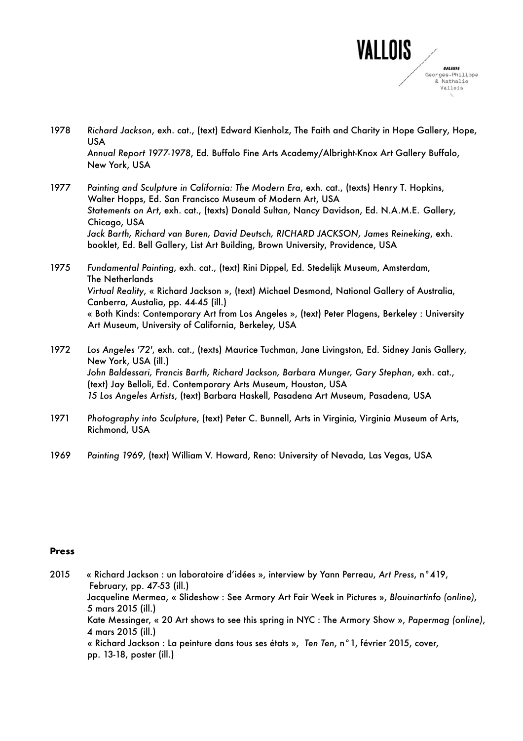

- 1978 *Richard Jackson*, exh. cat., (text) Edward Kienholz, The Faith and Charity in Hope Gallery, Hope, USA *Annual Report 1977-1978*, Ed. Buffalo Fine Arts Academy/Albright-Knox Art Gallery Buffalo, New York, USA
- 1977 *Painting and Sculpture in California: The Modern Era*, exh. cat., (texts) Henry T. Hopkins, Walter Hopps, Ed. San Francisco Museum of Modern Art, USA *Statements on Art*, exh. cat., (texts) Donald Sultan, Nancy Davidson, Ed. N.A.M.E. Gallery, Chicago, USA *Jack Barth, Richard van Buren, David Deutsch, RICHARD JACKSON, James Reineking*, exh. booklet, Ed. Bell Gallery, List Art Building, Brown University, Providence, USA

1975 *Fundamental Painting*, exh. cat., (text) Rini Dippel, Ed. Stedelijk Museum, Amsterdam, The Netherlands *Virtual Reality*, « Richard Jackson », (text) Michael Desmond, National Gallery of Australia, Canberra, Austalia, pp. 44-45 (ill.) « Both Kinds: Contemporary Art from Los Angeles », (text) Peter Plagens, Berkeley : University Art Museum, University of California, Berkeley, USA

- 1972 *Los Angeles '72'*, exh. cat., (texts) Maurice Tuchman, Jane Livingston, Ed. Sidney Janis Gallery, New York, USA (ill.) *John Baldessari, Francis Barth, Richard Jackson, Barbara Munger, Gary Stephan*, exh. cat., (text) Jay Belloli, Ed. Contemporary Arts Museum, Houston, USA *15 Los Angeles Artists*, (text) Barbara Haskell, Pasadena Art Museum, Pasadena, USA
- 1971 *Photography into Sculpture*, (text) Peter C. Bunnell, Arts in Virginia, Virginia Museum of Arts, Richmond, USA
- 1969 *Painting 1969*, (text) William V. Howard, Reno: University of Nevada, Las Vegas, USA

## **Press**

2015 « Richard Jackson : un laboratoire d'idées », interview by Yann Perreau, *Art Press*, n°419, February, pp. 47-53 (ill.) Jacqueline Mermea, « Slideshow : See Armory Art Fair Week in Pictures », *Blouinartinfo (online)*, 5 mars 2015 (ill.) Kate Messinger, « 20 Art shows to see this spring in NYC : The Armory Show », *Papermag (online)*, 4 mars 2015 (ill.) « Richard Jackson : La peinture dans tous ses états », *Ten Ten*, n°1, février 2015, cover, pp. 13-18, poster (ill.)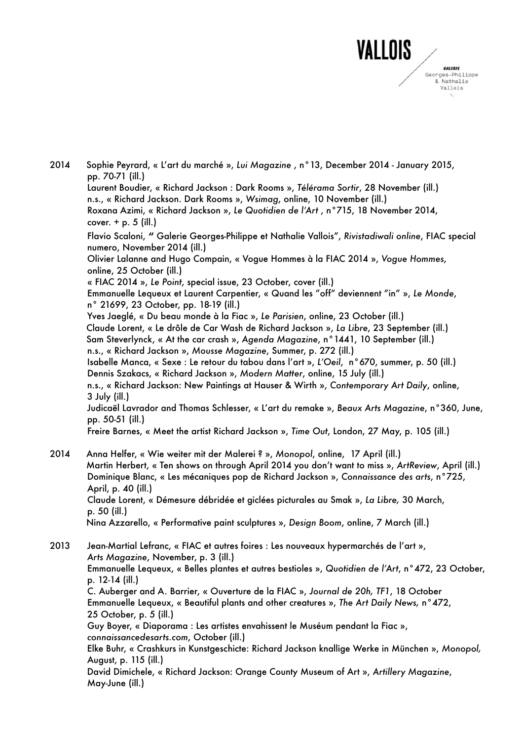

2014 Sophie Peyrard, « L'art du marché », *Lui Magazine* , n°13, December 2014 - January 2015, pp. 70-71 (ill.) Laurent Boudier, « Richard Jackson : Dark Rooms », *Télérama Sortir*, 28 November (ill.) n.s., « Richard Jackson. Dark Rooms », *Wsimag*, online, 10 November (ill.) Roxana Azimi, « Richard Jackson », *Le Quotidien de l'Art* , n°715, 18 November 2014, cover. + p. 5 (ill.) Flavio Scaloni, **"** Galerie Georges-Philippe et Nathalie Vallois", *Rivistadiwali online*, FIAC special numero, November 2014 (ill.) Olivier Lalanne and Hugo Compain, « Vogue Hommes à la FIAC 2014 », *Vogue Hommes*, online, 25 October (ill.) « FIAC 2014 », *Le Point*, special issue, 23 October, cover (ill.) Emmanuelle Lequeux et Laurent Carpentier, « Quand les "off" deviennent "in" », *Le Monde*, n° 21699, 23 October, pp. 18-19 (ill.) Yves Jaeglé, « Du beau monde à la Fiac », *Le Parisien*, online, 23 October (ill.) Claude Lorent, « Le drôle de Car Wash de Richard Jackson », *La Libre*, 23 September (ill.) Sam Steverlynck, « At the car crash », *Agenda Magazine*, n°1441, 10 September (ill.) n.s., « Richard Jackson », *Mousse Magazine*, Summer, p. 272 (ill.) Isabelle Manca, « Sexe : Le retour du tabou dans l'art », *L'Oeil*, n°670, summer, p. 50 (ill.) Dennis Szakacs, « Richard Jackson », *Modern Matter*, online, 15 July (ill.) n.s., « Richard Jackson: New Paintings at Hauser & Wirth », *Contemporary Art Daily*, online, 3 July (ill.) Judicaël Lavrador and Thomas Schlesser, « L'art du remake », *Beaux Arts Magazine*, n°360, June, pp. 50-51 (ill.) Freire Barnes, « Meet the artist Richard Jackson », *Time Out*, London, 27 May, p. 105 (ill.) 2014 Anna Helfer, « Wie weiter mit der Malerei ? », *Monopol*, online, 17 April (ill.) Martin Herbert, « Ten shows on through April 2014 you don't want to miss », *ArtReview*, April (ill.) Dominique Blanc, « Les mécaniques pop de Richard Jackson », *Connaissance des arts*, n°725, April, p. 40 (ill.) Claude Lorent, « Démesure débridée et giclées picturales au Smak », *La Libre,* 30 March, p. 50 (ill.) Nina Azzarello, « Performative paint sculptures », *Design Boom*, online, 7 March (ill.) 2013 Jean-Martial Lefranc, « FIAC et autres foires : Les nouveaux hypermarchés de l'art », *Arts Magazine*, November, p. 3 (ill.) Emmanuelle Lequeux, « Belles plantes et autres bestioles », *Quotidien de l'Art*, n°472, 23 October, p. 12-14 (ill.) C. Auberger and A. Barrier, « Ouverture de la FIAC », *Journal de 20h, TF1*, 18 October Emmanuelle Lequeux, « Beautiful plants and other creatures », *The Art Daily News,* n°472, 25 October, p. 5 (ill.) Guy Boyer, « Diaporama : Les artistes envahissent le Muséum pendant la Fiac », *connaissancedesarts.com*, October (ill.) Elke Buhr, « Crashkurs in Kunstgeschicte: Richard Jackson knallige Werke in München », *Monopol,* August, p. 115 (ill.) David Dimichele, « Richard Jackson: Orange County Museum of Art », *Artillery Magazine*, May-June (ill.)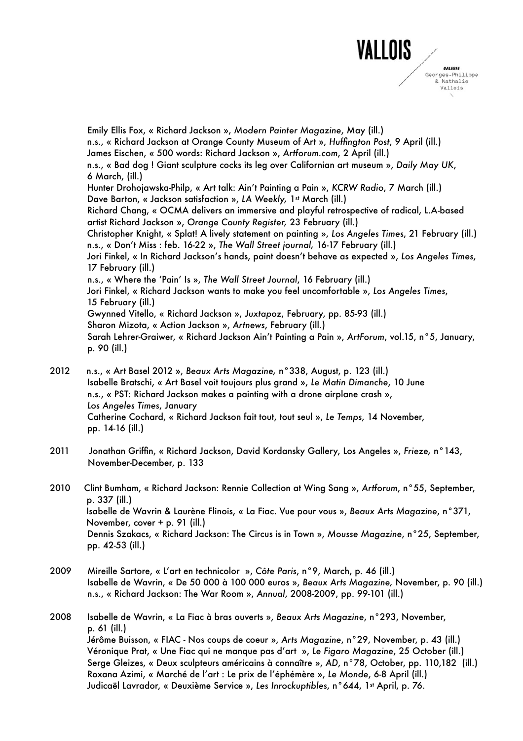

Emily Ellis Fox, « Richard Jackson », *Modern Painter Magazine*, May (ill.) n.s., « Richard Jackson at Orange County Museum of Art », *Huffington Post*, 9 April (ill.) James Eischen, « 500 words: Richard Jackson », *Artforum.com*, 2 April (ill.) n.s., « Bad dog ! Giant sculpture cocks its leg over Californian art museum », *Daily May UK*, 6 March, (ill.) Hunter Drohojawska-Philp, « Art talk: Ain't Painting a Pain », *KCRW Radio*, 7 March (ill.) Dave Barton, « Jackson satisfaction », LA Weekly, 1<sup>st</sup> March (ill.) Richard Chang, « OCMA delivers an immersive and playful retrospective of radical, L.A-based artist Richard Jackson », *Orange County Register,* 23 February (ill.) Christopher Knight, « Splat! A lively statement on painting », *Los Angeles Times*, 21 February (ill.) n.s., « Don't Miss : feb. 16-22 », *The Wall Street journal,* 16-17 February (ill.) Jori Finkel, « In Richard Jackson's hands, paint doesn't behave as expected », *Los Angeles Times*, 17 February (ill.) n.s., « Where the ʻPain' Is », *The Wall Street Journal*, 16 February (ill.) Jori Finkel, « Richard Jackson wants to make you feel uncomfortable », *Los Angeles Times*, 15 February (ill.) Gwynned Vitello, « Richard Jackson », *Juxtapoz*, February, pp. 85-93 (ill.) Sharon Mizota, « Action Jackson », *Artnews*, February (ill.) Sarah Lehrer-Graiwer, « Richard Jackson Ain't Painting a Pain », *ArtForum*, vol.15, n°5, January, p. 90 (ill.)

- 2012 n.s., « Art Basel 2012 », *Beaux Arts Magazine,* n°338, August, p. 123 (ill.) Isabelle Bratschi, « Art Basel voit toujours plus grand », *Le Matin Dimanche*, 10 June n.s., « PST: Richard Jackson makes a painting with a drone airplane crash », *Los Angeles Times*, January Catherine Cochard, « Richard Jackson fait tout, tout seul », *Le Temps*, 14 November, pp. 14-16 (ill.)
- 2011 Jonathan Griffin, « Richard Jackson, David Kordansky Gallery, Los Angeles », *Frieze,* n°143, November-December, p. 133
- 2010 Clint Bumham, « Richard Jackson: Rennie Collection at Wing Sang », *Artforum*, n°55, September, p. 337 (ill.) Isabelle de Wavrin & Laurène Flinois, « La Fiac. Vue pour vous », *Beaux Arts Magazine*, n°371, November, cover + p. 91 (ill.) Dennis Szakacs, « Richard Jackson: The Circus is in Town », *Mousse Magazine*, n°25, September, pp. 42-53 (ill.)
- 2009 Mireille Sartore, « L'art en technicolor », *Côte Paris*, n°9, March, p. 46 (ill.) Isabelle de Wavrin, « De 50 000 à 100 000 euros », *Beaux Arts Magazine,* November, p. 90 (ill.) n.s., « Richard Jackson: The War Room », *Annual*, 2008-2009, pp. 99-101 (ill.)
- 2008 Isabelle de Wavrin, « La Fiac à bras ouverts », *Beaux Arts Magazine*, n°293, November, p. 61 (ill.) Jérôme Buisson, « FIAC - Nos coups de coeur », *Arts Magazine*, n°29, November, p. 43 (ill.) Véronique Prat, « Une Fiac qui ne manque pas d'art », *Le Figaro Magazine*, 25 October (ill.) Serge Gleizes, « Deux sculpteurs américains à connaître », *AD*, n°78, October, pp. 110,182 (ill.) Roxana Azimi, « Marché de l'art : Le prix de l'éphémère », *Le Monde*, 6-8 April (ill.) Judicaël Lavrador, « Deuxième Service », Les Inrockuptibles, n°644, 1st April, p. 76.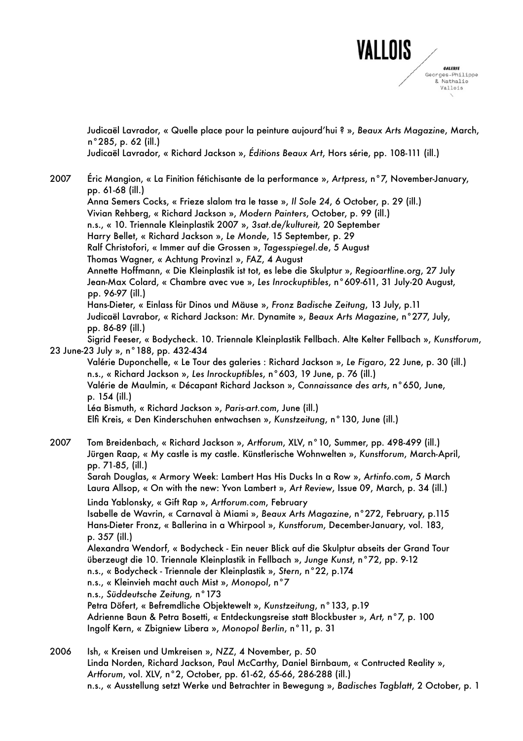

Judicaël Lavrador, « Quelle place pour la peinture aujourd'hui ? », *Beaux Arts Magazine*, March, n°285, p. 62 (ill.)

Judicaël Lavrador, « Richard Jackson », *Éditions Beaux Art*, Hors série, pp. 108-111 (ill.)

- 2007 Éric Mangion, « La Finition fétichisante de la performance », *Artpress*, n°7, November-January, pp. 61-68 (ill.) Anna Semers Cocks, « Frieze slalom tra le tasse », *Il Sole 24*, 6 October, p. 29 (ill.) Vivian Rehberg, « Richard Jackson », *Modern Painters*, October, p. 99 (ill.) n.s., « 10. Triennale Kleinplastik 2007 », *3sat.de/kultureit,* 20 September Harry Bellet, « Richard Jackson », *Le Monde*, 15 September, p. 29 Ralf Christofori, « Immer auf die Grossen », *Tagesspiegel.de*, 5 August Thomas Wagner, « Achtung Provinz! », *FAZ*, 4 August Annette Hoffmann, « Die Kleinplastik ist tot, es lebe die Skulptur », *Regioartline.org*, 27 July Jean-Max Colard, « Chambre avec vue », *Les Inrockuptibles*, n°609-611, 31 July-20 August, pp. 96-97 (ill.) Hans-Dieter, « Einlass für Dinos und Mäuse », *Fronz Badische Zeitung*, 13 July, p.11 Judicaël Lavrabor, « Richard Jackson: Mr. Dynamite », *Beaux Arts Magazine*, n°277, July, pp. 86-89 (ill.) Sigrid Feeser, « Bodycheck. 10. Triennale Kleinplastik Fellbach. Alte Kelter Fellbach », *Kunstforum*, 23 June-23 July », n°188, pp. 432-434 Valérie Duponchelle, « Le Tour des galeries : Richard Jackson », *Le Figaro*, 22 June, p. 30 (ill.) n.s., « Richard Jackson », *Les Inrockuptibles*, n°603, 19 June, p. 76 (ill.) Valérie de Maulmin, « Décapant Richard Jackson », *Connaissance des arts*, n°650, June, p. 154 (ill.) Léa Bismuth, « Richard Jackson », *Paris-art.com*, June (ill.) Elfi Kreis, « Den Kinderschuhen entwachsen », *Kunstzeitung*, n°130, June (ill.) 2007 Tom Breidenbach, « Richard Jackson », *Artforum*, XLV, n°10, Summer, pp. 498-499 (ill.) Jürgen Raap, « My castle is my castle. Künstlerische Wohnwelten », *Kunstforum*, March-April, pp. 71-85, (ill.) Sarah Douglas, « Armory Week: Lambert Has His Ducks In a Row », *Artinfo.com*, 5 March Laura Allsop, « On with the new: Yvon Lambert », *Art Review*, Issue 09, March, p. 34 (ill.) Linda Yablonsky, « Gift Rap », *Artforum.com*, February Isabelle de Wavrin, « Carnaval à Miami », *Beaux Arts Magazine*, n°272, February, p.115 Hans-Dieter Fronz, « Ballerina in a Whirpool », *Kunstforum*, December-January, vol. 183, p. 357 (ill.) Alexandra Wendorf, « Bodycheck - Ein neuer Blick auf die Skulptur abseits der Grand Tour überzeugt die 10. Triennale Kleinplastik in Fellbach », *Junge Kunst*, n°72, pp. 9-12 n.s., « Bodycheck - Triennale der Kleinplastik », *Stern*, n°22, p.174 n.s., « Kleinvieh macht auch Mist », *Monopol*, n°7 n.s., *Süddeutsche Zeitung,* n°173 Petra Döfert, « Befremdliche Objektewelt », *Kunstzeitung*, n°133, p.19 Adrienne Baun & Petra Bosetti, « Entdeckungsreise statt Blockbuster », *Art,* n°7, p. 100 Ingolf Kern, « Zbigniew Libera », *Monopol Berlin*, n°11, p. 31 2006 Ish, « Kreisen und Umkreisen », *NZZ*, 4 November, p. 50
	- Linda Norden, Richard Jackson, Paul McCarthy, Daniel Birnbaum, « Contructed Reality », *Artforum*, vol. XLV, n°2, October, pp. 61-62, 65-66, 286-288 (ill.) n.s., « Ausstellung setzt Werke und Betrachter in Bewegung », *Badisches Tagblatt*, 2 October, p. 1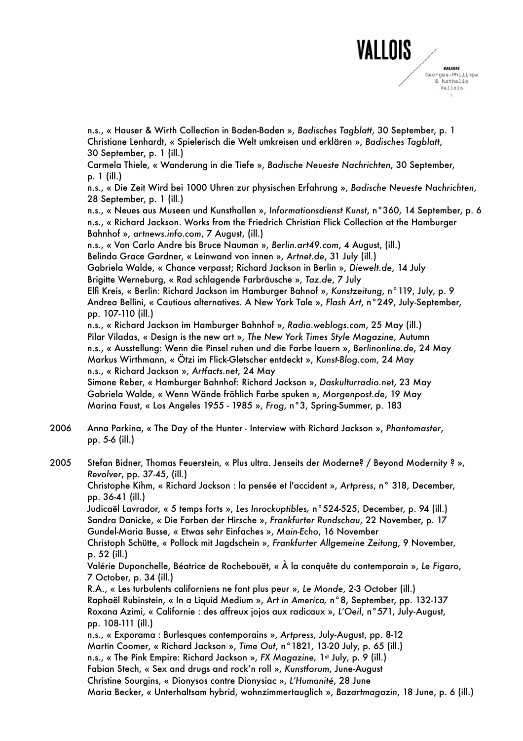

n.s., « Hauser & Wirth Collection in Baden-Baden », *Badisches Tagblatt*, 30 September, p. 1 Christiane Lenhardt, « Spielerisch die Welt umkreisen und erklären », *Badisches Tagblatt*, 30 September, p. 1 (ill.)

Carmela Thiele, « Wanderung in die Tiefe », *Badische Neueste Nachrichten*, 30 September, p. 1 (ill.)

n.s., « Die Zeit Wird bei 1000 Uhren zur physischen Erfahrung », *Badische Neueste Nachrichten*, 28 September, p. 1 (ill.)

n.s., « Neues aus Museen und Kunsthallen », *Informationsdienst Kunst*, n°360, 14 September, p. 6 n.s., « Richard Jackson. Works from the Friedrich Christian Flick Collection at the Hamburger Bahnhof », *artnews.info.com*, 7 August, (ill.)

n.s., « Von Carlo Andre bis Bruce Nauman », *Berlin.art49.com*, 4 August, (ill.)

Belinda Grace Gardner, « Leinwand von innen », *Artnet.de*, 31 July (ill.)

Gabriela Walde, « Chance verpasst; Richard Jackson in Berlin », *Diewelt.de*, 14 July Brigitte Werneburg, « Rad schlagende Farbräusche », *Taz.de*, 7 July

Elfi Kreis, « Berlin: Richard Jackson im Hamburger Bahnof », *Kunstzeitung*, n°119, July, p. 9 Andrea Bellini, « Cautious alternatives. A New York Tale », *Flash Art*, n°249, July-September, pp. 107-110 (ill.)

n.s., « Richard Jackson im Hamburger Bahnhof », *Radio.weblogs.com*, 25 May (ill.) Pilar Viladas, « Design is the new art », *The New York Times Style Magazine*, Autumn n.s., « Ausstellung: Wenn die Pinsel ruhen und die Farbe lauern », *Berlinonline.de*, 24 May Markus Wirthmann, « Ötzi im Flick-Gletscher entdeckt », *Kunst-Blog.com*, 24 May n.s., « Richard Jackson », *Artfacts.net*, 24 May

Simone Reber, « Hamburger Bahnhof: Richard Jackson », *Daskulturradio.net*, 23 May Gabriela Walde, « Wenn Wände fröhlich Farbe spuken », *Morgenpost.de*, 19 May Marina Faust, « Los Angeles 1955 - 1985 », *Frog*, n°3, Spring-Summer, p. 183

2006 Anna Parkina, « The Day of the Hunter - Interview with Richard Jackson », *Phantomaster*, pp. 5-6 (ill.)

2005 Stefan Bidner, Thomas Feuerstein, « Plus ultra. Jenseits der Moderne? / Beyond Modernity ? », *Revolver*, pp. 37-45, (ill.)

Christophe Kihm, « Richard Jackson : la pensée et l'accident », *Artpress*, n° 318, December, pp. 36-41 (ill.)

Judicaël Lavrador, « 5 temps forts », *Les Inrockuptibles,* n°524-525, December, p. 94 (ill.) Sandra Danicke, « Die Farben der Hirsche », *Frankfurter Rundschau*, 22 November, p. 17 Gundel-Maria Busse, « Etwas sehr Einfaches », *Main-Echo*, 16 November

Christoph Schütte, « Pollock mit Jagdschein », *Frankfurter Allgemeine Zeitung*, 9 November, p. 52 (ill.)

Valérie Duponchelle, Béatrice de Rochebouët, « À la conquête du contemporain », *Le Figaro*, 7 October, p. 34 (ill.)

R.A., « Les turbulents californiens ne font plus peur », *Le Monde*, 2-3 October (ill.) Raphaël Rubinstein, « In a Liquid Medium », *Art in America,* n°8, September, pp. 132-137 Roxana Azimi, « Californie : des affreux jojos aux radicaux », *L'Oeil*, n°571, July-August, pp. 108-111 (ill.)

n.s., « Exporama : Burlesques contemporains », *Artpress*, July-August, pp. 8-12 Martin Coomer, « Richard Jackson », *Time Out*, n°1821, 13-20 July, p. 65 (ill.) n.s., « The Pink Empire: Richard Jackson », *FX Magazine*, 1<sup>st</sup> July, p. 9 (ill.) Fabian Stech, « Sex and drugs and rock'n roll », *Kunstforum*, June-August Christine Sourgins, « Dionysos contre Dionysiac », *L'Humanité*, 28 June

Maria Becker, « Unterhaltsam hybrid, wohnzimmertauglich », *Bazartmagazin*, 18 June, p. 6 (ill.)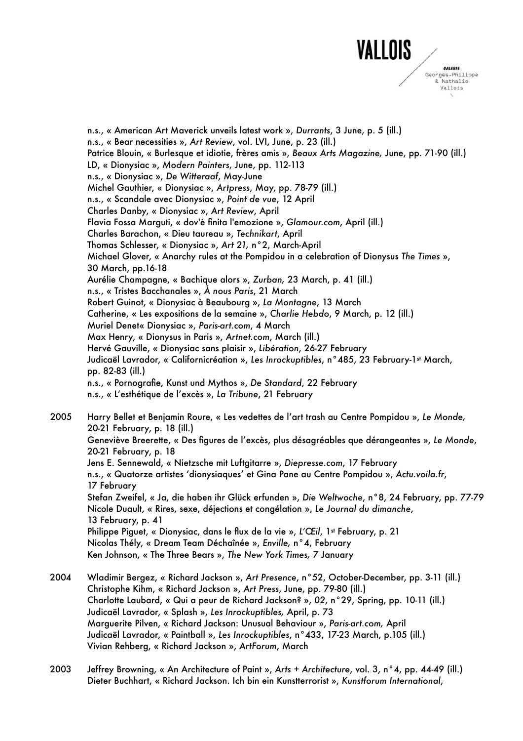

n.s., « American Art Maverick unveils latest work », *Durrants*, 3 June, p. 5 (ill.) n.s., « Bear necessities », *Art Review*, vol. LVI, June, p. 23 (ill.) Patrice Blouin, « Burlesque et idiotie, frères amis », *Beaux Arts Magazine,* June, pp. 71-90 (ill.) LD, « Dionysiac », *Modern Painters*, June, pp. 112-113 n.s., « Dionysiac », *De Witteraaf*, May-June Michel Gauthier, « Dionysiac », *Artpress*, May, pp. 78-79 (ill.) n.s., « Scandale avec Dionysiac », *Point de vue*, 12 April Charles Danby, « Dionysiac », *Art Review*, April Flavia Fossa Marguti, « dov'è finita l'emozione », *Glamour.com*, April (ill.) Charles Barachon, « Dieu taureau », *Technikart*, April Thomas Schlesser, « Dionysiac », *Art 21,* n°2, March-April Michael Glover, « Anarchy rules at the Pompidou in a celebration of Dionysus *The Times* », 30 March, pp.16-18 Aurélie Champagne, « Bachique alors », *Zurban,* 23 March, p. 41 (ill.) n.s., « Tristes Bacchanales », *À nous Paris*, 21 March Robert Guinot, « Dionysiac à Beaubourg », *La Montagne*, 13 March Catherine, « Les expositions de la semaine », *Charlie Hebdo*, 9 March, p. 12 (ill.) Muriel Denet« Dionysiac », *Paris-art.com*, 4 March Max Henry, « Dionysus in Paris », *Artnet.com*, March (ill.) Hervé Gauville, « Dionysiac sans plaisir », *Libération*, 26-27 February Judicaël Lavrador, « Californicréation », Les Inrockuptibles, n°485, 23 February-1<sup>st</sup> March, pp. 82-83 (ill.) n.s., « Pornografie, Kunst und Mythos », *De Standard*, 22 February n.s., « L'esthétique de l'excès », *La Tribune*, 21 February 2005 Harry Bellet et Benjamin Roure, « Les vedettes de l'art trash au Centre Pompidou », *Le Monde,* 20-21 February, p. 18 (ill.) Geneviève Breerette, « Des figures de l'excès, plus désagréables que dérangeantes », *Le Monde*, 20-21 February, p. 18 Jens E. Sennewald, « Nietzsche mit Luftgitarre », *Diepresse.com*, 17 February n.s., « Quatorze artistes ʻdionysiaques' et Gina Pane au Centre Pompidou », *Actu.voila.fr*, 17 February Stefan Zweifel, « Ja, die haben ihr Glück erfunden », *Die Weltwoche*, n°8, 24 February, pp. 77-79 Nicole Duault, « Rires, sexe, déjections et congélation », *Le Journal du dimanche*, 13 February, p. 41 Philippe Piguet, « Dionysiac, dans le flux de la vie », *L'Œil*, 1st February, p. 21 Nicolas Thély, « Dream Team Déchaînée », *Enville,* n°4, February Ken Johnson, « The Three Bears », *The New York Times,* 7 January 2004 Wladimir Bergez, « Richard Jackson », *Art Presence*, n°52, October-December, pp. 3-11 (ill.)

- Christophe Kihm, « Richard Jackson », *Art Press*, June, pp. 79-80 (ill.) Charlotte Laubard, « Qui a peur de Richard Jackson? », *02*, n°29, Spring, pp. 10-11 (ill.) Judicaël Lavrador, « Splash », *Les Inrockuptibles,* April, p. 73 Marguerite Pilven, « Richard Jackson: Unusual Behaviour », *Paris-art.com,* April Judicaël Lavrador, « Paintball », *Les Inrockuptibles*, n°433, 17-23 March, p.105 (ill.) Vivian Rehberg, « Richard Jackson », *ArtForum*, March
- 2003 Jeffrey Browning, « An Architecture of Paint », *Arts + Architecture*, vol. 3, n°4, pp. 44-49 (ill.) Dieter Buchhart, « Richard Jackson. Ich bin ein Kunstterrorist », *Kunstforum International*,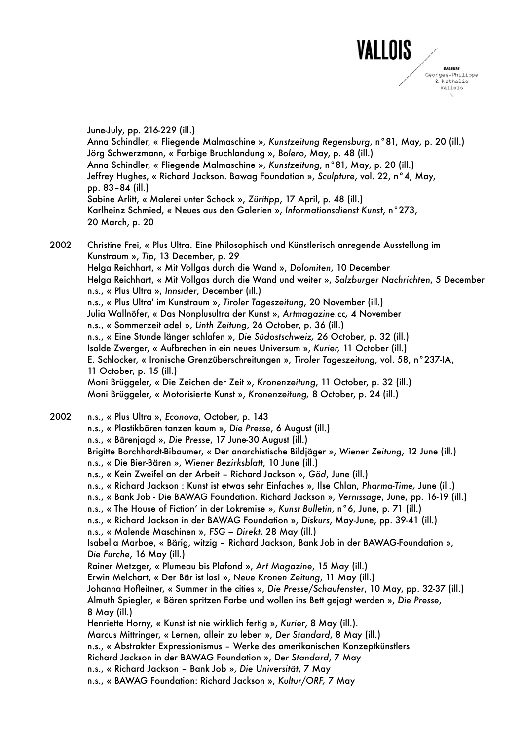

June-July, pp. 216-229 (ill.) Anna Schindler, « Fliegende Malmaschine », *Kunstzeitung Regensburg*, n°81, May, p. 20 (ill.) Jörg Schwerzmann, « Farbige Bruchlandung », *Bolero*, May, p. 48 (ill.) Anna Schindler, « Fliegende Malmaschine », *Kunstzeitung*, n°81, May, p. 20 (ill.) Jeffrey Hughes, « Richard Jackson. Bawag Foundation », *Sculpture*, vol. 22, n°4, May, pp. 83–84 (ill.) Sabine Arlitt, « Malerei unter Schock », *Züritipp*, 17 April, p. 48 (ill.) Karlheinz Schmied, « Neues aus den Galerien », *Informationsdienst Kunst*, n°273, 20 March, p. 20

2002 Christine Frei, « Plus Ultra. Eine Philosophisch und Künstlerisch anregende Ausstellung im Kunstraum », *Tip*, 13 December, p. 29 Helga Reichhart, « Mit Vollgas durch die Wand », *Dolomiten*, 10 December Helga Reichhart, « Mit Vollgas durch die Wand und weiter », *Salzburger Nachrichten*, 5 December n.s., « Plus Ultra », *Innsider*, December (ill.) n.s., « Plus Ultra' im Kunstraum », *Tiroler Tageszeitung*, 20 November (ill.) Julia Wallnöfer, « Das Nonplusultra der Kunst », *Artmagazine.cc,* 4 November n.s., « Sommerzeit ade! », *Linth Zeitung*, 26 October, p. 36 (ill.) n.s., « Eine Stunde länger schlafen », *Die Südostschweiz,* 26 October, p. 32 (ill.) Isolde Zwerger, « Aufbrechen in ein neues Universum », *Kurier,* 11 October (ill.) E. Schlocker, « Ironische Grenzüberschreitungen », *Tiroler Tageszeitung*, vol. 58, n°237-IA, 11 October, p. 15 (ill.) Moni Brüggeler, « Die Zeichen der Zeit », *Kronenzeitung*, 11 October, p. 32 (ill.) Moni Brüggeler, « Motorisierte Kunst », *Kronenzeitung,* 8 October, p. 24 (ill.) 2002 n.s., « Plus Ultra », *Econova*, October, p. 143

n.s., « Plastikbären tanzen kaum », *Die Presse*, 6 August (ill.) n.s., « Bärenjagd », *Die Presse*, 17 June-30 August (ill.) Brigitte Borchhardt-Bibaumer, « Der anarchistische Bildjäger », *Wiener Zeitung*, 12 June (ill.) n.s., « Die Bier-Bären », *Wiener Bezirksblatt*, 10 June (ill.) n.s., « Kein Zweifel an der Arbeit – Richard Jackson », *Göd*, June (ill.) n.s., « Richard Jackson : Kunst ist etwas sehr Einfaches », Ilse Chlan, *Pharma-Time,* June (ill.) n.s., « Bank Job - Die BAWAG Foundation. Richard Jackson », *Vernissage*, June, pp. 16-19 (ill.) n.s., « The House of Fictionʻ in der Lokremise », *Kunst Bulletin*, n°6, June, p. 71 (ill.) n.s., « Richard Jackson in der BAWAG Foundation », *Diskurs*, May-June, pp. 39-41 (ill.) n.s., « Malende Maschinen », *FSG – Direkt*, 28 May (ill.) Isabella Marboe, « Bärig, witzig – Richard Jackson, Bank Job in der BAWAG-Foundation », *Die Furche*, 16 May (ill.) Rainer Metzger, « Plumeau bis Plafond », *Art Magazine*, 15 May (ill.) Erwin Melchart, « Der Bär ist los! », *Neue Kronen Zeitung*, 11 May (ill.) Johanna Hofleitner, « Summer in the cities », *Die Presse/Schaufenster*, 10 May, pp. 32-37 (ill.) Almuth Spiegler, « Bären spritzen Farbe und wollen ins Bett gejagt werden », *Die Presse*, 8 May (ill.) Henriette Horny, « Kunst ist nie wirklich fertig », *Kurier*, 8 May (ill.). Marcus Mittringer, « Lernen, allein zu leben », *Der Standard*, 8 May (ill.) n.s., « Abstrakter Expressionismus – Werke des amerikanischen Konzeptkünstlers Richard Jackson in der BAWAG Foundation », *Der Standard*, 7 May n.s., « Richard Jackson – Bank Job », *Die Universität*, 7 May n.s., « BAWAG Foundation: Richard Jackson », *Kultur/ORF,* 7 May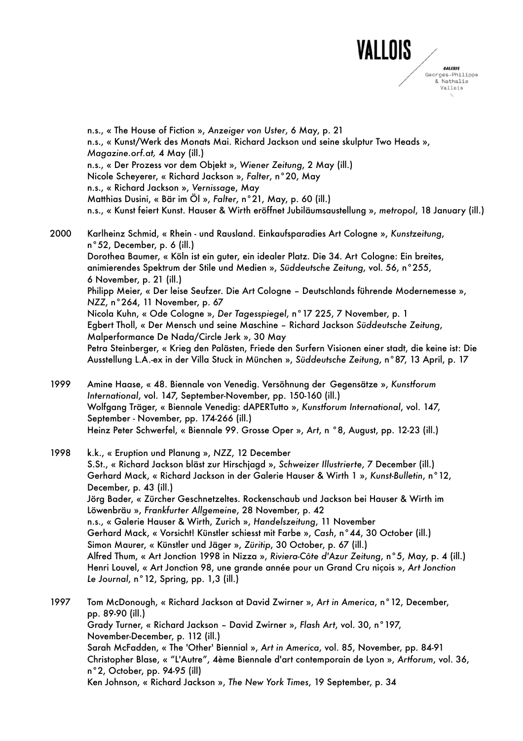

n.s., « The House of Fiction », *Anzeiger von Uster*, 6 May, p. 21 n.s., « Kunst/Werk des Monats Mai. Richard Jackson und seine skulptur Two Heads », *Magazine.orf.at,* 4 May (ill.) n.s., « Der Prozess vor dem Objekt », *Wiener Zeitung*, 2 May (ill.) Nicole Scheyerer, « Richard Jackson », *Falter*, n°20, May n.s., « Richard Jackson », *Vernissage*, May Matthias Dusini, « Bär im Öl », *Falter*, n°21, May, p. 60 (ill.) n.s., « Kunst feiert Kunst. Hauser & Wirth eröffnet Jubiläumsaustellung », *metropol*, 18 January (ill.)

2000 Karlheinz Schmid, « Rhein - und Rausland. Einkaufsparadies Art Cologne », *Kunstzeitung*, n°52, December, p. 6 (ill.) Dorothea Baumer, « Köln ist ein guter, ein idealer Platz. Die 34. Art Cologne: Ein breites, animierendes Spektrum der Stile und Medien », *Süddeutsche Zeitung*, vol. 56, n°255, 6 November, p. 21 (ill.) Philipp Meier, « Der leise Seufzer. Die Art Cologne – Deutschlands führende Modernemesse », *NZZ*, n°264, 11 November, p. 67 Nicola Kuhn, « Ode Cologne », *Der Tagesspiegel*, n°17 225, 7 November, p. 1 Egbert Tholl, « Der Mensch und seine Maschine – Richard Jackson *Süddeutsche Zeitung*, Malperformance De Nada/Circle Jerk », 30 May Petra Steinberger, « Krieg den Palästen, Friede den Surfern Visionen einer stadt, die keine ist: Die Ausstellung L.A.-ex in der Villa Stuck in München », *Süddeutsche Zeitung*, n°87, 13 April, p. 17

1999 Amine Haase, « 48. Biennale von Venedig. Versöhnung der Gegensätze », *Kunstforum International*, vol. 147, September-November, pp. 150-160 (ill.) Wolfgang Träger, « Biennale Venedig: dAPERTutto », *Kunstforum International*, vol. 147, September - November, pp. 174-266 (ill.) Heinz Peter Schwerfel, « Biennale 99. Grosse Oper », *Art*, n °8, August, pp. 12-23 (ill.)

## 1998 k.k., « Eruption und Planung », *NZZ*, 12 December S.St., « Richard Jackson bläst zur Hirschjagd », *Schweizer Illustrierte*, 7 December (ill.) Gerhard Mack, « Richard Jackson in der Galerie Hauser & Wirth 1 », *Kunst-Bulletin*, n°12, December, p. 43 (ill.) Jörg Bader, « Zürcher Geschnetzeltes. Rockenschaub und Jackson bei Hauser & Wirth im Löwenbräu », *Frankfurter Allgemeine*, 28 November, p. 42 n.s., « Galerie Hauser & Wirth, Zurich », *Handelszeitung*, 11 November Gerhard Mack, « Vorsicht! Künstler schiesst mit Farbe », *Cash*, n°44, 30 October (ill.) Simon Maurer, « Künstler und Jäger », *Züritip*, 30 October, p. 67 (ill.) Alfred Thum, « Art Jonction 1998 in Nizza », *Riviera-Côte d'Azur Zeitung*, n°5, May, p. 4 (ill.) Henri Louvel, « Art Jonction 98, une grande année pour un Grand Cru niçois », *Art Jonction Le Journal*, n°12, Spring, pp. 1,3 (ill.)

1997 Tom McDonough, « Richard Jackson at David Zwirner », *Art in America*, n°12, December, pp. 89-90 (ill.) Grady Turner, « Richard Jackson – David Zwirner », *Flash Art*, vol. 30, n°197, November-December, p. 112 (ill.) Sarah McFadden, « The 'Other' Biennial », *Art in America*, vol. 85, November, pp. 84-91 Christopher Blase, « "L'Autre", 4ème Biennale d'art contemporain de Lyon », *Artforum*, vol. 36, n°2, October, pp. 94-95 (ill) Ken Johnson, « Richard Jackson », *The New York Times*, 19 September, p. 34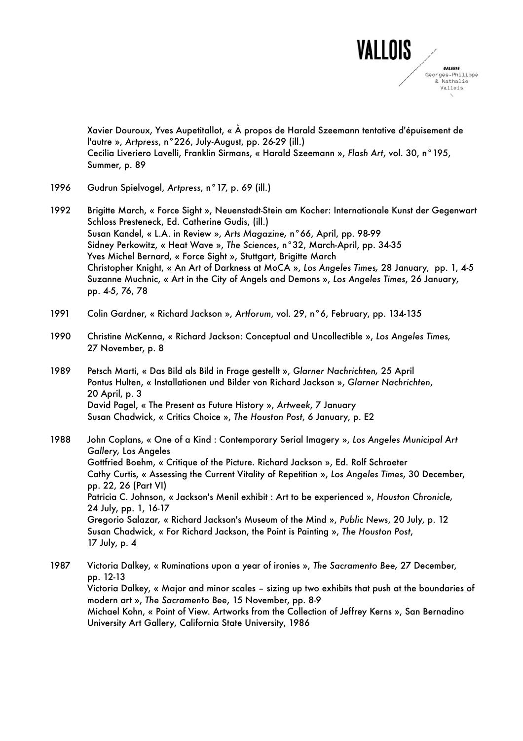

Xavier Douroux, Yves Aupetitallot, « À propos de Harald Szeemann tentative d'épuisement de l'autre », *Artpress*, n°226, July-August, pp. 26-29 (ill.) Cecilia Liveriero Lavelli, Franklin Sirmans, « Harald Szeemann », *Flash Art*, vol. 30, n°195, Summer, p. 89

- 1996 Gudrun Spielvogel, *Artpress*, n°17, p. 69 (ill.)
- 1992 Brigitte March, « Force Sight », Neuenstadt-Stein am Kocher: Internationale Kunst der Gegenwart Schloss Presteneck, Ed. Catherine Gudis, (ill.) Susan Kandel, « L.A. in Review », *Arts Magazine,* n°66, April, pp. 98-99 Sidney Perkowitz, « Heat Wave », *The Sciences*, n°32, March-April, pp. 34-35 Yves Michel Bernard, « Force Sight », Stuttgart, Brigitte March Christopher Knight, « An Art of Darkness at MoCA », *Los Angeles Times,* 28 January, pp. 1, 4-5 Suzanne Muchnic, « Art in the City of Angels and Demons », *Los Angeles Times*, 26 January, pp. 4-5, 76, 78
- 1991 Colin Gardner, « Richard Jackson », *Artforum*, vol. 29, n°6, February, pp. 134-135
- 1990 Christine McKenna, « Richard Jackson: Conceptual and Uncollectible », *Los Angeles Times,* 27 November, p. 8
- 1989 Petsch Marti, « Das Bild als Bild in Frage gestellt », *Glarner Nachrichten,* 25 April Pontus Hulten, « Installationen und Bilder von Richard Jackson », *Glarner Nachrichten*, 20 April, p. 3 David Pagel, « The Present as Future History », *Artweek*, 7 January Susan Chadwick, « Critics Choice », *The Houston Post*, 6 January, p. E2

1988 John Coplans, « One of a Kind : Contemporary Serial Imagery », *Los Angeles Municipal Art Gallery,* Los Angeles Gottfried Boehm, « Critique of the Picture. Richard Jackson », Ed. Rolf Schroeter Cathy Curtis, « Assessing the Current Vitality of Repetition », *Los Angeles Times*, 30 December, pp. 22, 26 (Part VI) Patricia C. Johnson, « Jackson's Menil exhibit : Art to be experienced », *Houston Chronicle,* 24 July, pp. 1, 16-17 Gregorio Salazar*,* « Richard Jackson's Museum of the Mind », *Public News*, 20 July, p. 12 Susan Chadwick, « For Richard Jackson, the Point is Painting », *The Houston Post*, 17 July, p. 4

1987 Victoria Dalkey, « Ruminations upon a year of ironies », *The Sacramento Bee,* 27 December, pp. 12-13 Victoria Dalkey, « Major and minor scales – sizing up two exhibits that push at the boundaries of modern art », *The Sacramento Bee*, 15 November, pp. 8-9 Michael Kohn, « Point of View. Artworks from the Collection of Jeffrey Kerns », San Bernadino University Art Gallery, California State University, 1986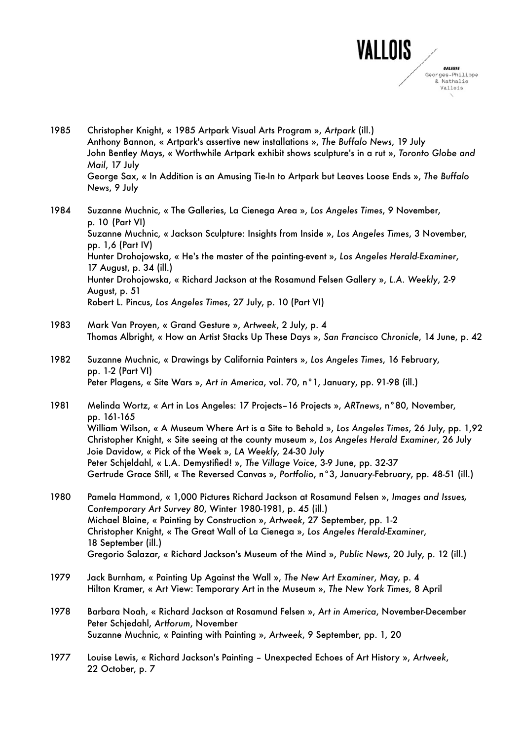

- 1985 Christopher Knight, « 1985 Artpark Visual Arts Program », *Artpark* (ill.) Anthony Bannon, « Artpark's assertive new installations », *The Buffalo News*, 19 July John Bentley Mays, « Worthwhile Artpark exhibit shows sculpture's in a rut », *Toronto Globe and Mail*, 17 July George Sax, « In Addition is an Amusing Tie-In to Artpark but Leaves Loose Ends », *The Buffalo News*, 9 July
- 1984 Suzanne Muchnic, « The Galleries, La Cienega Area », *Los Angeles Times*, 9 November, p. 10 (Part VI) Suzanne Muchnic, « Jackson Sculpture: Insights from Inside », *Los Angeles Times*, 3 November, pp. 1,6 (Part IV) Hunter Drohojowska, « He's the master of the painting-event », *Los Angeles Herald-Examiner*, 17 August, p. 34 (ill.) Hunter Drohojowska, « Richard Jackson at the Rosamund Felsen Gallery », *L.A. Weekly*, 2-9 August, p. 51 Robert L. Pincus, *Los Angeles Times*, 27 July, p. 10 (Part VI)
- 1983 Mark Van Proyen, « Grand Gesture », *Artweek*, 2 July, p. 4 Thomas Albright, « How an Artist Stacks Up These Days », *San Francisco Chronicle*, 14 June, p. 42
- 1982 Suzanne Muchnic, « Drawings by California Painters », *Los Angeles Times*, 16 February, pp. 1-2 (Part VI) Peter Plagens, « Site Wars », *Art in America*, vol. 70, n°1, January, pp. 91-98 (ill.)
- 1981 Melinda Wortz, « Art in Los Angeles: 17 Projects–16 Projects », *ARTnews*, n°80, November, pp. 161-165 William Wilson, « A Museum Where Art is a Site to Behold », *Los Angeles Times*, 26 July, pp. 1,92 Christopher Knight, « Site seeing at the county museum », *Los Angeles Herald Examiner*, 26 July Joie Davidow, « Pick of the Week », *LA Weekly,* 24-30 July Peter Schjeldahl, « L.A. Demystified! », *The Village Voice*, 3-9 June, pp. 32-37 Gertrude Grace Still, « The Reversed Canvas », *Portfolio*, n°3, January-February, pp. 48-51 (ill.)
- 1980 Pamela Hammond, « 1,000 Pictures Richard Jackson at Rosamund Felsen », *Images and Issues, Contemporary Art Survey 80*, Winter 1980-1981, p. 45 (ill.) Michael Blaine, « Painting by Construction », *Artweek*, 27 September, pp. 1-2 Christopher Knight, « The Great Wall of La Cienega », *Los Angeles Herald-Examiner*, 18 September (ill.) Gregorio Salazar, « Richard Jackson's Museum of the Mind », *Public News*, 20 July, p. 12 (ill.)
- 1979 Jack Burnham, « Painting Up Against the Wall », *The New Art Examiner*, May, p. 4 Hilton Kramer, « Art View: Temporary Art in the Museum », *The New York Times*, 8 April
- 1978 Barbara Noah, « Richard Jackson at Rosamund Felsen », *Art in America*, November-December Peter Schjedahl, *Artforum*, November Suzanne Muchnic, « Painting with Painting », *Artweek*, 9 September, pp. 1, 20
- 1977 Louise Lewis, « Richard Jackson's Painting Unexpected Echoes of Art History », *Artweek*, 22 October, p. 7